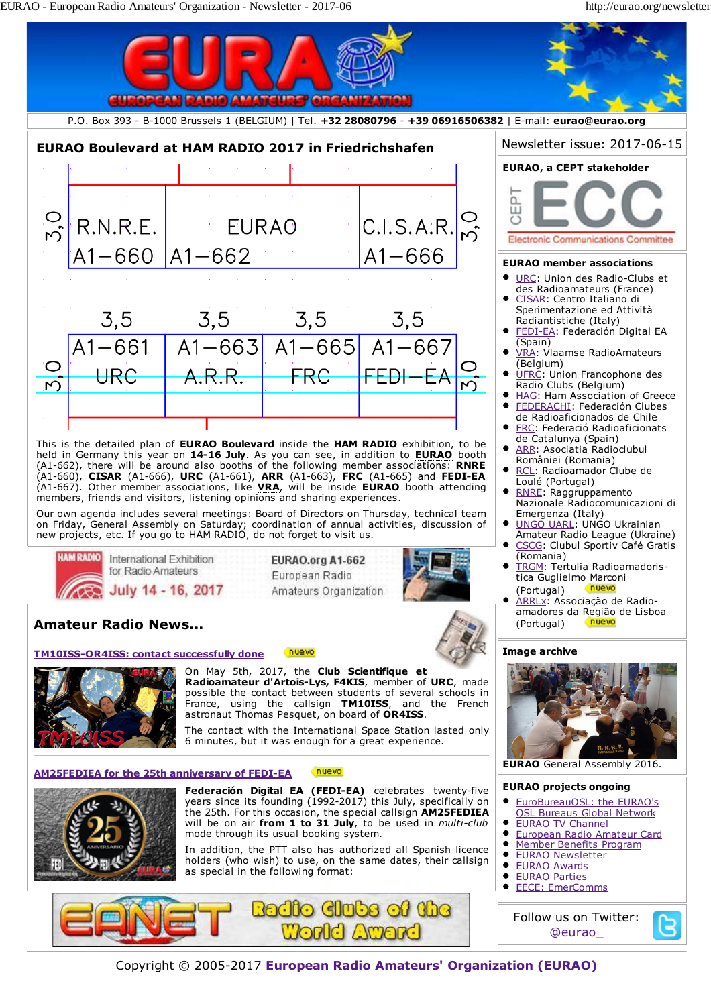

Copyright © 2005-2017 **European Radio Amateurs' Organization (EURAO)**